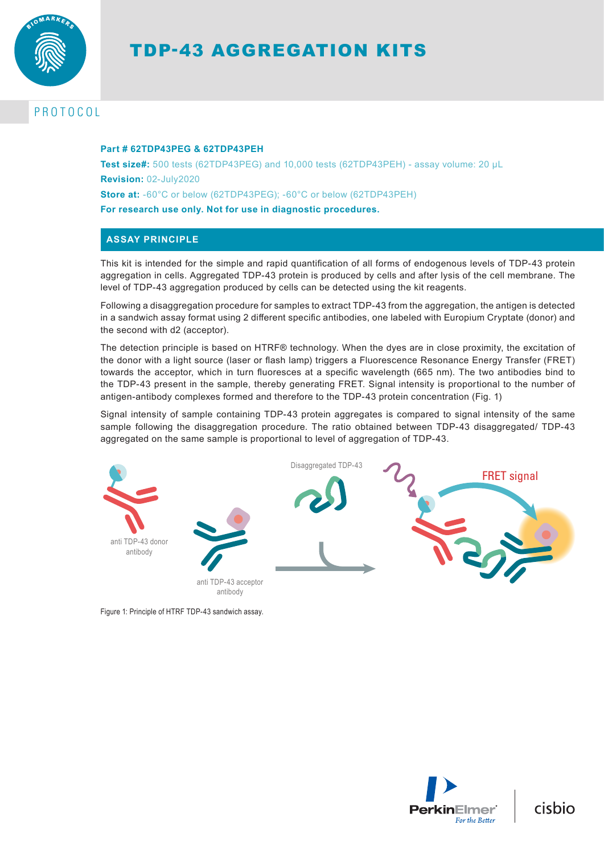

# TDP-43 AGGREGATION KITS

# PROTOCOL

#### **Part # 62TDP43PEG & 62TDP43PEH**

**Test size#:** 500 tests (62TDP43PEG) and 10,000 tests (62TDP43PEH) - assay volume: 20 µL **Revision:** 02-July2020 **Store at:** -60°C or below (62TDP43PEG); -60°C or below (62TDP43PEH)

**For research use only. Not for use in diagnostic procedures.**

# **ASSAY PRINCIPLE**

This kit is intended for the simple and rapid quantification of all forms of endogenous levels of TDP-43 protein aggregation in cells. Aggregated TDP-43 protein is produced by cells and after lysis of the cell membrane. The level of TDP-43 aggregation produced by cells can be detected using the kit reagents.

Following a disaggregation procedure for samples to extract TDP-43 from the aggregation, the antigen is detected in a sandwich assay format using 2 different specific antibodies, one labeled with Europium Cryptate (donor) and the second with d2 (acceptor).

The detection principle is based on HTRF® technology. When the dyes are in close proximity, the excitation of the donor with a light source (laser or flash lamp) triggers a Fluorescence Resonance Energy Transfer (FRET) towards the acceptor, which in turn fluoresces at a specific wavelength (665 nm). The two antibodies bind to the TDP-43 present in the sample, thereby generating FRET. Signal intensity is proportional to the number of antigen-antibody complexes formed and therefore to the TDP-43 protein concentration (Fig. 1)

Signal intensity of sample containing TDP-43 protein aggregates is compared to signal intensity of the same sample following the disaggregation procedure. The ratio obtained between TDP-43 disaggregated/ TDP-43 aggregated on the same sample is proportional to level of aggregation of TDP-43.



Figure 1: Principle of HTRF TDP-43 sandwich assay.



cisbio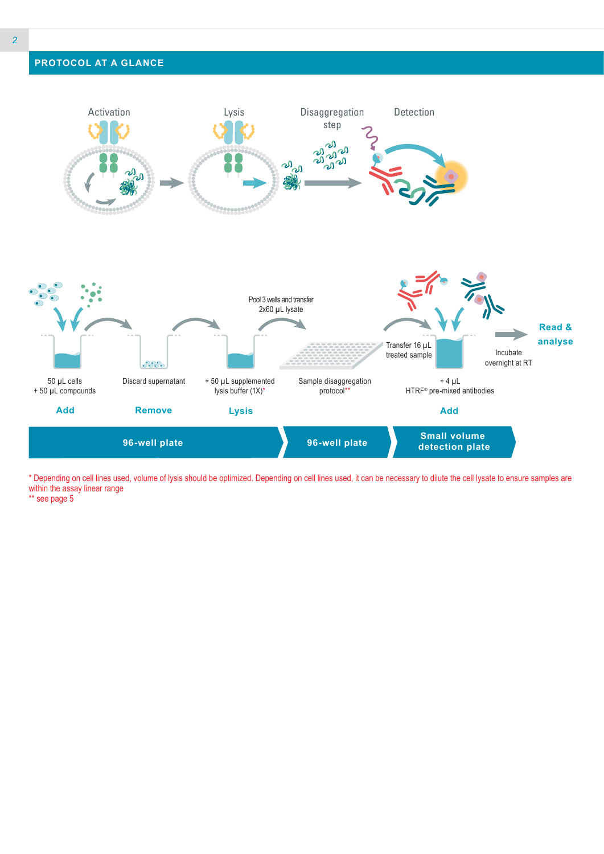# **PROTOCOL AT A GLANCE**



\* Depending on cell lines used, volume of lysis should be optimized. Depending on cell lines used, it can be necessary to dilute the cell lysate to ensure samples are within the assay linear range

\*\* see page 5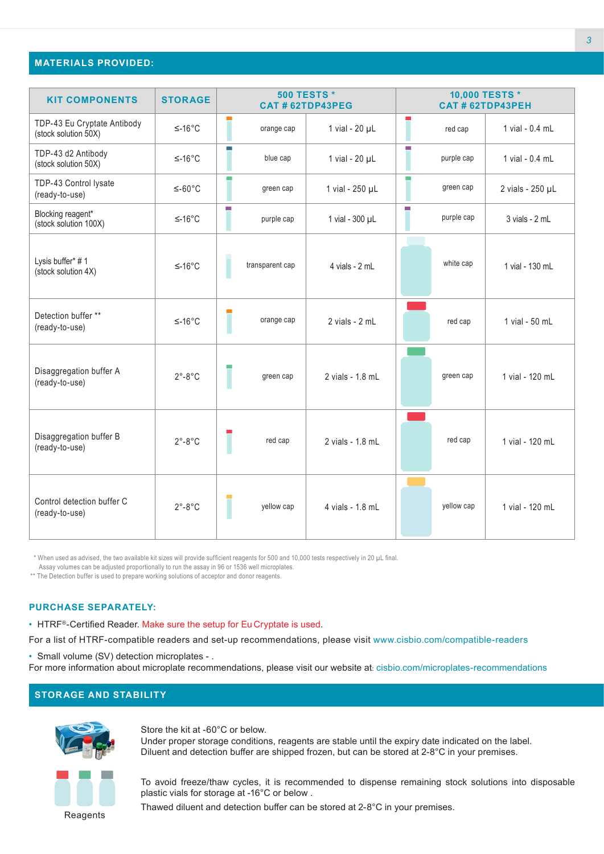## **MATERIALS PROVIDED:**

| <b>KIT COMPONENTS</b>                               | <b>STORAGE</b>           | <b>500 TESTS*</b><br>CAT # 62TDP43PEG |                 |                    | 10,000 TESTS *<br><b>CAT # 62TDP43PEH</b> |                   |
|-----------------------------------------------------|--------------------------|---------------------------------------|-----------------|--------------------|-------------------------------------------|-------------------|
| TDP-43 Eu Cryptate Antibody<br>(stock solution 50X) | $≤-16°C$                 |                                       | orange cap      | 1 vial - 20 µL     | red cap                                   | 1 vial - 0.4 mL   |
| TDP-43 d2 Antibody<br>(stock solution 50X)          | $≤-16°C$                 |                                       | blue cap        | 1 vial - 20 µL     | m.<br>purple cap                          | 1 vial - $0.4$ ml |
| TDP-43 Control lysate<br>(ready-to-use)             | $≤-60°C$                 | m.                                    | green cap       | 1 vial - 250 µL    | <b>COL</b><br>green cap                   | 2 vials - 250 µL  |
| Blocking reagent*<br>(stock solution 100X)          | $≤-16°C$                 | m.                                    | purple cap      | 1 vial - 300 µL    | m.<br>purple cap                          | 3 vials - 2 mL    |
| Lysis buffer* #1<br>(stock solution 4X)             | $≤-16°C$                 |                                       | transparent cap | 4 vials - 2 mL     | white cap                                 | 1 vial - 130 mL   |
| Detection buffer **<br>(ready-to-use)               | $≤-16°C$                 |                                       | orange cap      | $2$ vials - $2$ mL | red cap                                   | 1 vial - 50 mL    |
| Disaggregation buffer A<br>(ready-to-use)           | $2^{\circ}$ -8°C         |                                       | green cap       | 2 vials - 1.8 mL   | green cap                                 | 1 vial - 120 mL   |
| Disaggregation buffer B<br>(ready-to-use)           | $2^{\circ}$ -8°C         |                                       | red cap         | 2 vials - 1.8 mL   | red cap                                   | 1 vial - 120 mL   |
| Control detection buffer C<br>(ready-to-use)        | $2^{\circ} - 8^{\circ}C$ |                                       | yellow cap      | 4 vials - 1.8 mL   | yellow cap                                | 1 vial - 120 mL   |

\* When used as advised, the two available kit sizes will provide sufficient reagents for 500 and 10,000 tests respectively in 20 µL final.

Assay volumes can be adjusted proportionally to run the assay in 96 or 1536 well microplates.

\*\* The Detection buffer is used to prepare working solutions of acceptor and donor reagents.

#### **PURCHASE SEPARATELY:**

• HTRF®-Certified Reader. Make sure the setup for Eu Cryptate is used.

For a list of HTRF-compatible readers and set-up recommendations, please visit www.cisbio.com/compatible-readers

• Small volume (SV) detection microplates - .

For more information about microplate recommendations, please visit our website at: cisbio.com/microplates-recommendations

# **STORAGE AND STABILITY**



Store the kit at -60°C or below. Under proper storage conditions, reagents are stable until the expiry date indicated on the label. Diluent and detection buffer are shipped frozen, but can be stored at 2-8°C in your premises.



To avoid freeze/thaw cycles, it is recommended to dispense remaining stock solutions into disposable plastic vials for storage at -16°C or below .

Thawed diluent and detection buffer can be stored at 2-8°C in your premises.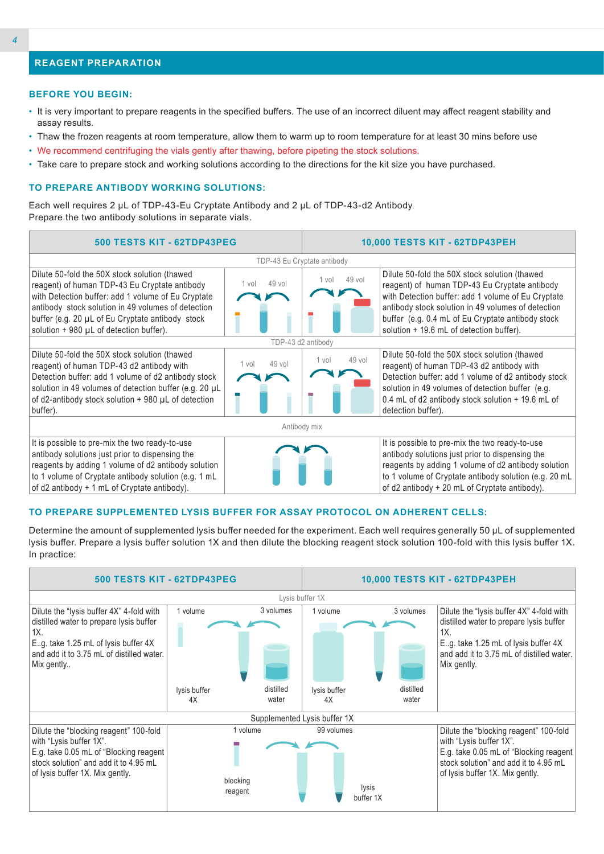# **REAGENT PREPARATION**

#### **BEFORE YOU BEGIN:**

- It is very important to prepare reagents in the specified buffers. The use of an incorrect diluent may affect reagent stability and assay results.
- Thaw the frozen reagents at room temperature, allow them to warm up to room temperature for at least 30 mins before use
- We recommend centrifuging the vials gently after thawing, before pipeting the stock solutions.
- Take care to prepare stock and working solutions according to the directions for the kit size you have purchased.

#### **TO PREPARE ANTIBODY WORKING SOLUTIONS:**

Each well requires 2 µL of TDP-43-Eu Cryptate Antibody and 2 µL of TDP-43-d2 Antibody. Prepare the two antibody solutions in separate vials.



#### **TO PREPARE SUPPLEMENTED LYSIS BUFFER FOR ASSAY PROTOCOL ON ADHERENT CELLS:**

Determine the amount of supplemented lysis buffer needed for the experiment. Each well requires generally 50 µL of supplemented lysis buffer. Prepare a lysis buffer solution 1X and then dilute the blocking reagent stock solution 100-fold with this lysis buffer 1X. In practice:

| 500 TESTS KIT - 62TDP43PEG                                                                                                                                                                    | 10,000 TESTS KIT - 62TDP43PEH   |                    |                              |                    |                                                                                                                                                                                                |
|-----------------------------------------------------------------------------------------------------------------------------------------------------------------------------------------------|---------------------------------|--------------------|------------------------------|--------------------|------------------------------------------------------------------------------------------------------------------------------------------------------------------------------------------------|
|                                                                                                                                                                                               |                                 |                    | Lysis buffer 1X              |                    |                                                                                                                                                                                                |
| Dilute the "lysis buffer 4X" 4-fold with<br>distilled water to prepare lysis buffer<br>1X.<br>E.g. take 1.25 mL of lysis buffer 4X<br>and add it to 3.75 mL of distilled water.<br>Mix gently | 1 volume                        | 3 volumes          | 1 volume                     | 3 volumes          | Dilute the "lysis buffer 4X" 4-fold with<br>distilled water to prepare lysis buffer<br>1X.<br>E.g. take 1.25 mL of lysis buffer 4X<br>and add it to 3.75 mL of distilled water.<br>Mix gently. |
|                                                                                                                                                                                               | lysis buffer<br>4X              | distilled<br>water | lysis buffer<br>4X           | distilled<br>water |                                                                                                                                                                                                |
|                                                                                                                                                                                               |                                 |                    |                              |                    |                                                                                                                                                                                                |
|                                                                                                                                                                                               |                                 |                    | Supplemented Lysis buffer 1X |                    |                                                                                                                                                                                                |
| Dilute the "blocking reagent" 100-fold<br>with "Lysis buffer 1X".<br>E.g. take 0.05 mL of "Blocking reagent<br>stock solution" and add it to 4.95 mL<br>of lysis buffer 1X. Mix gently.       | 1 volume<br>blocking<br>reagent |                    | 99 volumes                   | lysis<br>buffer 1X | Dilute the "blocking reagent" 100-fold<br>with "Lysis buffer 1X".<br>E.g. take 0.05 mL of "Blocking reagent  <br>stock solution" and add it to 4.95 mL<br>of lysis buffer 1X. Mix gently.      |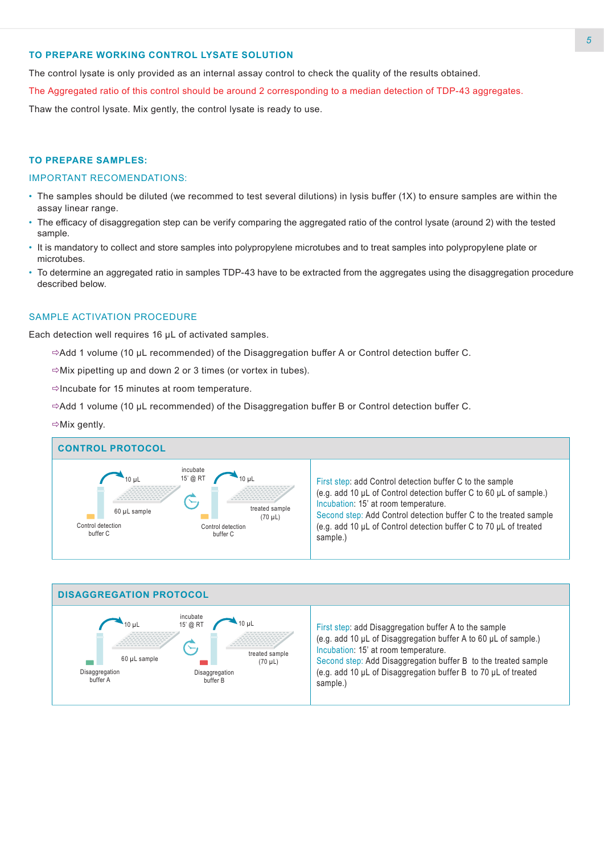# **TO PREPARE WORKING CONTROL LYSATE SOLUTION**

The control lysate is only provided as an internal assay control to check the quality of the results obtained.

The Aggregated ratio of this control should be around 2 corresponding to a median detection of TDP-43 aggregates.

Thaw the control lysate. Mix gently, the control lysate is ready to use.

#### **TO PREPARE SAMPLES:**

#### IMPORTANT RECOMENDATIONS:

- The samples should be diluted (we recommed to test several dilutions) in lysis buffer (1X) to ensure samples are within the assay linear range.
- The efficacy of disaggregation step can be verify comparing the aggregated ratio of the control lysate (around 2) with the tested sample.
- It is mandatory to collect and store samples into polypropylene microtubes and to treat samples into polypropylene plate or microtubes.
- To determine an aggregated ratio in samples TDP-43 have to be extracted from the aggregates using the disaggregation procedure described below.

#### SAMPLE ACTIVATION PROCEDURE

Each detection well requires 16 µL of activated samples.

- $\Rightarrow$  Add 1 volume (10 μL recommended) of the Disaggregation buffer A or Control detection buffer C.
- $\Rightarrow$  Mix pipetting up and down 2 or 3 times (or vortex in tubes).
- $\Rightarrow$ Incubate for 15 minutes at room temperature.
- $\Rightarrow$  Add 1 volume (10 µL recommended) of the Disaggregation buffer B or Control detection buffer C.

#### $\Rightarrow$ Mix gently.



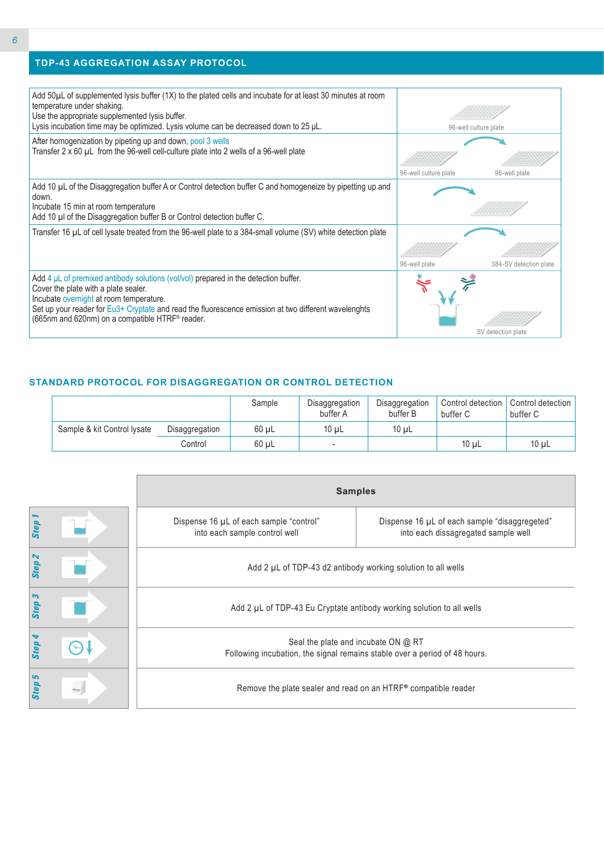# **TDP-43 AGGREGATION ASSAY PROTOCOL**

| Add 50µL of supplemented lysis buffer (1X) to the plated cells and incubate for at least 30 minutes at room<br>temperature under shaking.<br>Use the appropriate supplemented lysis buffer.                                                                                                                                            |                       |                        |
|----------------------------------------------------------------------------------------------------------------------------------------------------------------------------------------------------------------------------------------------------------------------------------------------------------------------------------------|-----------------------|------------------------|
| Lysis incubation time may be optimized. Lysis volume can be decreased down to 25 µL.                                                                                                                                                                                                                                                   |                       | 96-well culture plate  |
| After homogenization by pipeting up and down, pool 3 wells<br>Transfer 2 x 60 µL from the 96-well cell-culture plate into 2 wells of a 96-well plate                                                                                                                                                                                   |                       |                        |
|                                                                                                                                                                                                                                                                                                                                        | 96-well culture plate | 96-well plate          |
| Add 10 µL of the Disaggregation buffer A or Control detection buffer C and homogeneize by pipetting up and<br>down.                                                                                                                                                                                                                    |                       |                        |
| Incubate 15 min at room temperature<br>Add 10 µl of the Disaggregation buffer B or Control detection buffer C.                                                                                                                                                                                                                         |                       |                        |
| Transfer 16 µL of cell lysate treated from the 96-well plate to a 384-small volume (SV) white detection plate                                                                                                                                                                                                                          |                       |                        |
|                                                                                                                                                                                                                                                                                                                                        |                       |                        |
|                                                                                                                                                                                                                                                                                                                                        | 96-well plate         | 384-SV detection plate |
| Add $4 \mu L$ of premixed antibody solutions (vol/vol) prepared in the detection buffer.<br>Cover the plate with a plate sealer.<br>Incubate overnight at room temperature.<br>Set up your reader for Eu3+ Cryptate and read the fluorescence emission at two different wavelenghts<br>(665nm and 620nm) on a compatible HTRF® reader. |                       | SV detection plate     |

# **STANDARD PROTOCOL FOR DISAGGREGATION OR CONTROL DETECTION**

|                             |                | Sample     | Disaggregation<br>buffer A | Disaggregation<br>buffer B | Control detection<br>buffer C | Control detection<br>buffer C |
|-----------------------------|----------------|------------|----------------------------|----------------------------|-------------------------------|-------------------------------|
| Sample & kit Control Iysate | Disaggregation | 60 uL      | $10 \mu L$                 | $10 \mu L$                 |                               |                               |
|                             | Control        | $60 \mu L$ | $\overline{\phantom{a}}$   |                            | $10 \mu L$                    | $10 \mu L$                    |

|                   | <b>Samples</b>                                                                                                    |                                                                                      |  |  |  |  |  |  |
|-------------------|-------------------------------------------------------------------------------------------------------------------|--------------------------------------------------------------------------------------|--|--|--|--|--|--|
| Step 1            | Dispense 16 µL of each sample "control"<br>into each sample control well                                          | Dispense 16 µL of each sample "disaggregeted"<br>into each dissagregated sample well |  |  |  |  |  |  |
| Step <sub>2</sub> |                                                                                                                   | Add 2 µL of TDP-43 d2 antibody working solution to all wells                         |  |  |  |  |  |  |
| Step 3            | Add 2 µL of TDP-43 Eu Cryptate antibody working solution to all wells                                             |                                                                                      |  |  |  |  |  |  |
| Step 4            | Seal the plate and incubate ON @ RT<br>Following incubation, the signal remains stable over a period of 48 hours. |                                                                                      |  |  |  |  |  |  |
| Step 5            | Remove the plate sealer and read on an $HTRF®$ compatible reader                                                  |                                                                                      |  |  |  |  |  |  |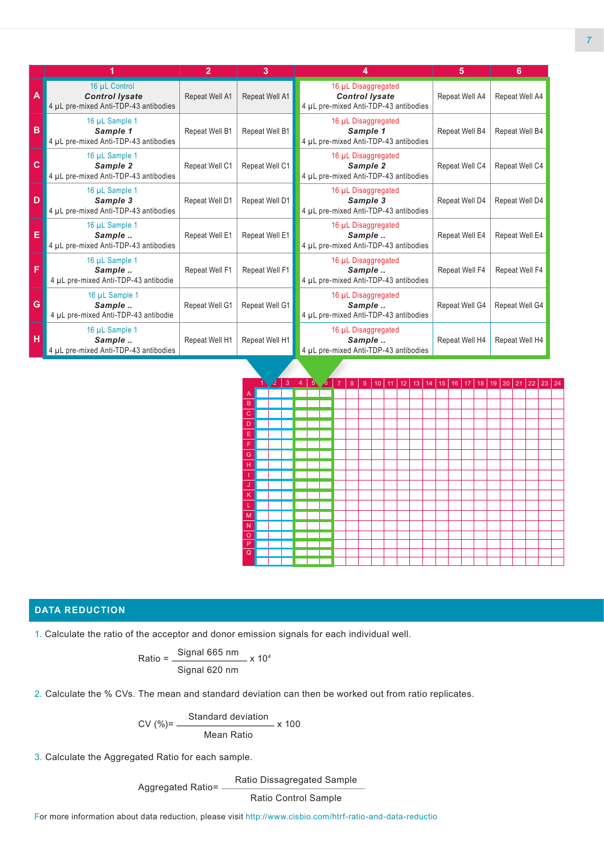|              |                                                                                 | $\overline{2}$ | 3              |                                                                                       | 5              | 6              |
|--------------|---------------------------------------------------------------------------------|----------------|----------------|---------------------------------------------------------------------------------------|----------------|----------------|
| A            | 16 µL Control<br><b>Control lysate</b><br>4 µL pre-mixed Anti-TDP-43 antibodies | Repeat Well A1 | Repeat Well A1 | 16 µL Disaggregated<br><b>Control lysate</b><br>4 µL pre-mixed Anti-TDP-43 antibodies | Repeat Well A4 | Repeat Well A4 |
| $\, {\bf B}$ | 16 µL Sample 1<br>Sample 1<br>4 µL pre-mixed Anti-TDP-43 antibodies             | Repeat Well B1 | Repeat Well B1 | 16 µL Disaggregated<br>Sample 1<br>4 µL pre-mixed Anti-TDP-43 antibodies              | Repeat Well B4 | Repeat Well B4 |
| $\mathbf c$  | 16 µL Sample 1<br>Sample 2<br>4 µL pre-mixed Anti-TDP-43 antibodies             | Repeat Well C1 | Repeat Well C1 | 16 µL Disaggregated<br>Sample 2<br>4 µL pre-mixed Anti-TDP-43 antibodies              | Repeat Well C4 | Repeat Well C4 |
| D            | 16 µL Sample 1<br>Sample 3<br>4 µL pre-mixed Anti-TDP-43 antibodies             | Repeat Well D1 | Repeat Well D1 | 16 µL Disaggregated<br>Sample 3<br>4 µL pre-mixed Anti-TDP-43 antibodies              | Repeat Well D4 | Repeat Well D4 |
| E            | 16 µL Sample 1<br>Sample<br>4 µL pre-mixed Anti-TDP-43 antibodies               | Repeat Well E1 | Repeat Well E1 | 16 µL Disaggregated<br>Sample<br>4 µL pre-mixed Anti-TDP-43 antibodies                | Repeat Well E4 | Repeat Well E4 |
| F            | 16 µL Sample 1<br>Sample<br>4 µL pre-mixed Anti-TDP-43 antibodie                | Repeat Well F1 | Repeat Well F1 | 16 µL Disaggregated<br>Sample<br>4 µL pre-mixed Anti-TDP-43 antibodies                | Repeat Well F4 | Repeat Well F4 |
| G            | 16 µL Sample 1<br>Sample<br>4 µL pre-mixed Anti-TDP-43 antibodie                | Repeat Well G1 | Repeat Well G1 | 16 µL Disaggregated<br>Sample<br>4 µL pre-mixed Anti-TDP-43 antibodies                | Repeat Well G4 | Repeat Well G4 |
| н            | 16 µL Sample 1<br>Sample<br>4 µL pre-mixed Anti-TDP-43 antibodies               | Repeat Well H1 | Repeat Well H1 | 16 µL Disaggregated<br>Sample<br>4 µL pre-mixed Anti-TDP-43 antibodies                | Repeat Well H4 | Repeat Well H4 |



# **DATA REDUCTION**

1. Calculate the ratio of the acceptor and donor emission signals for each individual well.

Ratio = 
$$
\frac{\text{Signal 665 nm}}{\text{Signal 620 nm}} \times 10^4
$$

2. Calculate the % CVs. The mean and standard deviation can then be worked out from ratio replicates.

$$
CV (\%) = \frac{Standard deviation}{Mean Ratio} \times 100
$$

3. Calculate the Aggregated Ratio for each sample.

Aggregated Ratio= Ratio Dissagregated Sample

Ratio Control Sample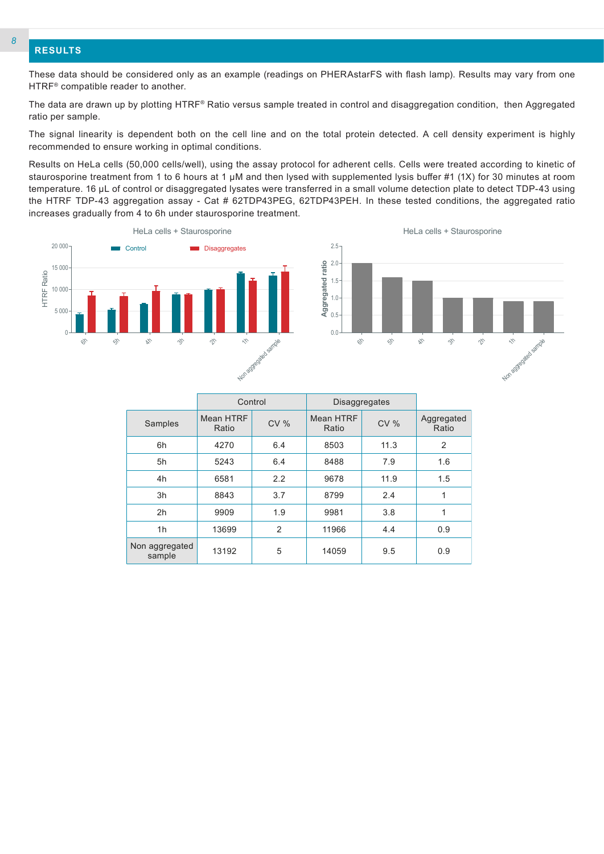## **RESULTS**

These data should be considered only as an example (readings on PHERAstarFS with flash lamp). Results may vary from one HTRF® compatible reader to another.

The data are drawn up by plotting HTRF® Ratio versus sample treated in control and disaggregation condition, then Aggregated ratio per sample.

The signal linearity is dependent both on the cell line and on the total protein detected. A cell density experiment is highly recommended to ensure working in optimal conditions.

Results on HeLa cells (50,000 cells/well), using the assay protocol for adherent cells. Cells were treated according to kinetic of staurosporine treatment from 1 to 6 hours at 1 µM and then lysed with supplemented lysis buffer #1 (1X) for 30 minutes at room temperature. 16 µL of control or disaggregated lysates were transferred in a small volume detection plate to detect TDP-43 using the HTRF TDP-43 aggregation assay - Cat # 62TDP43PEG, 62TDP43PEH. In these tested conditions, the aggregated ratio increases gradually from 4 to 6h under staurosporine treatment.





|                          | Control            |                | <b>Disaggregates</b> |      |                     |
|--------------------------|--------------------|----------------|----------------------|------|---------------------|
| Samples                  | Mean HTRF<br>Ratio | CV%            | Mean HTRF<br>Ratio   | CV%  | Aggregated<br>Ratio |
| 6h                       | 4270               | 6.4            | 8503                 | 11.3 | $\overline{2}$      |
| 5h                       | 5243               | 6.4            | 8488                 | 7.9  | 1.6                 |
| 4h                       | 6581               | 2.2            | 9678                 | 11.9 | 1.5                 |
| 3h                       | 8843               | 3.7            | 8799                 | 2.4  | 1                   |
| 2 <sub>h</sub>           | 9909               | 1.9            | 9981                 | 3.8  | 1                   |
| 1h                       | 13699              | $\overline{2}$ | 11966                | 4.4  | 0.9                 |
| Non aggregated<br>sample | 13192              | 5              | 14059                | 9.5  | 0.9                 |